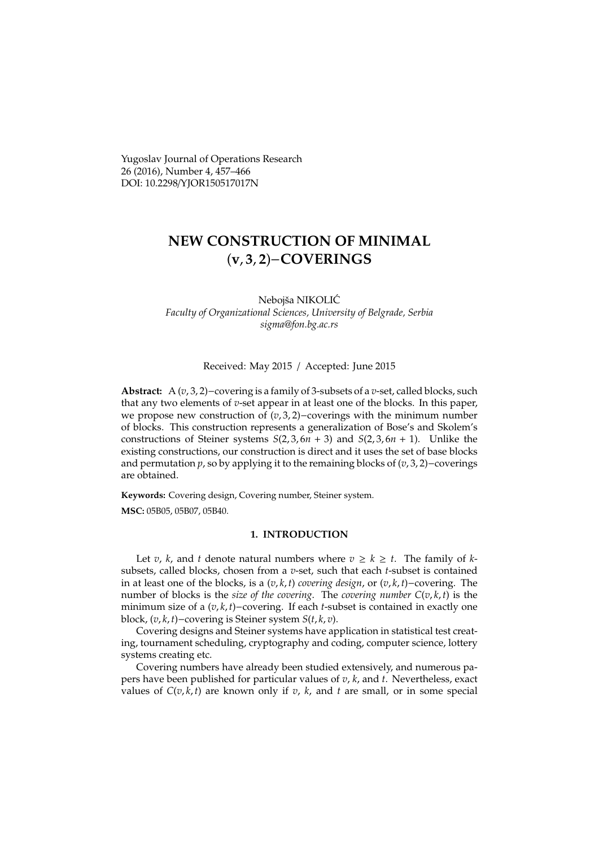Yugoslav Journal of Operations Research 26 (2016), Number 4, 457–466 DOI: 10.2298/YJOR150517017N

# **NEW CONSTRUCTION OF MINIMAL** (**v**, **3**, **2**)−**COVERINGS**

Nebojša NIKOLIĆ *Faculty of Organizational Sciences, University of Belgrade, Serbia sigma@fon.bg.ac.rs*

#### Received: May 2015 / Accepted: June 2015

**Abstract:** A (*v*, 3, 2)−covering is a family of 3-subsets of a *v*-set, called blocks, such that any two elements of *v*-set appear in at least one of the blocks. In this paper, we propose new construction of (*v*, 3, 2)−coverings with the minimum number of blocks. This construction represents a generalization of Bose's and Skolem's constructions of Steiner systems  $S(2, 3, 6n + 3)$  and  $S(2, 3, 6n + 1)$ . Unlike the existing constructions, our construction is direct and it uses the set of base blocks and permutation *p*, so by applying it to the remaining blocks of (*v*, 3, 2)−coverings are obtained.

**Keywords:** Covering design, Covering number, Steiner system.

**MSC:** 05B05, 05B07, 05B40.

# **1. INTRODUCTION**

Let *v*, *k*, and *t* denote natural numbers where  $v \ge k \ge t$ . The family of *k*subsets, called blocks, chosen from a *v*-set, such that each *t*-subset is contained in at least one of the blocks, is a (*v*, *k*, *t*) *covering design*, or (*v*, *k*, *t*)−covering. The number of blocks is the *size* of the *covering*. The *covering number*  $C(v, k, t)$  is the minimum size of a (*v*, *k*, *t*)−covering. If each *t*-subset is contained in exactly one block, (*v*, *k*, *t*)−covering is Steiner system *S*(*t*, *k*, *v*).

Covering designs and Steiner systems have application in statistical test creating, tournament scheduling, cryptography and coding, computer science, lottery systems creating etc.

Covering numbers have already been studied extensively, and numerous papers have been published for particular values of *v*, *k*, and *t*. Nevertheless, exact values of  $C(v, k, t)$  are known only if *v*, *k*, and *t* are small, or in some special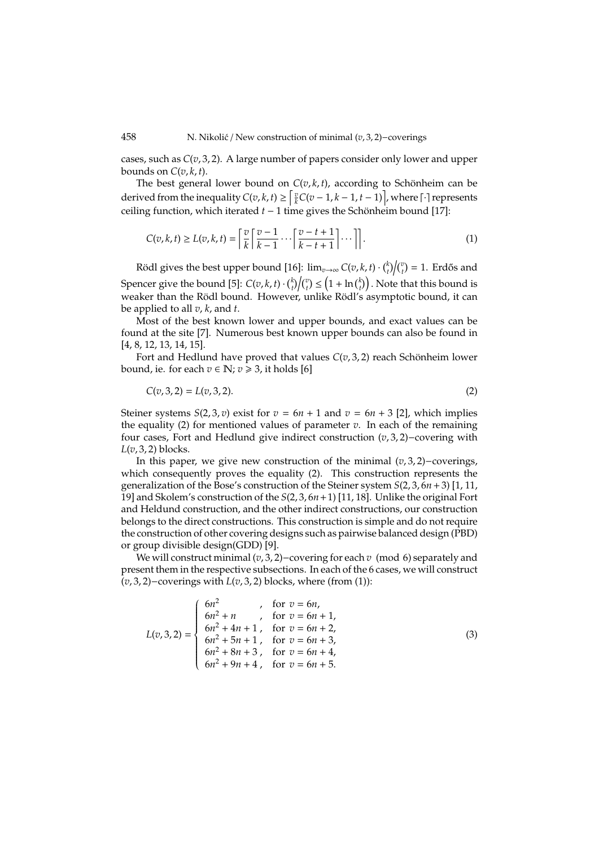cases, such as *C*(*v*, 3, 2). A large number of papers consider only lower and upper bounds on  $C(v, k, t)$ .

The best general lower bound on  $C(v, k, t)$ , according to Schönheim can be derived from the inequality  $C(v, k, t) \geq \left[\frac{v}{k}C(v-1, k-1, t-1)\right]$ , where  $\lceil \cdot \rceil$  represents ceiling function, which iterated *t* − 1 time gives the Schönheim bound [17]:

$$
C(v,k,t) \ge L(v,k,t) = \left\lceil \frac{v}{k} \left\lceil \frac{v-1}{k-1} \cdots \left\lceil \frac{v-t+1}{k-t+1} \right\rceil \cdots \right\rceil \right\rceil. \tag{1}
$$

Rödl gives the best upper bound [16]:  $\lim_{v\to\infty} C(v,k,t) \cdot {k \choose t}/ {v \choose t} = 1$ . Erdős and Spencer give the bound [5]:  $C(v, k, t) \cdot {k \choose t} {v \choose t} \leq (1 + \ln {k \choose t})$ . Note that this bound is weaker than the Rödl bound. However, unlike Rödl's asymptotic bound, it can be applied to all *v*, *k*, and *t*.

Most of the best known lower and upper bounds, and exact values can be found at the site [7]. Numerous best known upper bounds can also be found in [4, 8, 12, 13, 14, 15].

Fort and Hedlund have proved that values  $C(v, 3, 2)$  reach Schönheim lower bound, ie. for each  $v \in \mathbb{N}$ ;  $v \ge 3$ , it holds [6]

$$
C(v,3,2) = L(v,3,2). \tag{2}
$$

Steiner systems *S*(2, 3, *v*) exist for  $v = 6n + 1$  and  $v = 6n + 3$  [2], which implies the equality (2) for mentioned values of parameter  $v$ . In each of the remaining four cases, Fort and Hedlund give indirect construction (*v*, 3, 2)−covering with *L*(*v*, 3, 2) blocks.

In this paper, we give new construction of the minimal (*v*, 3, 2)−coverings, which consequently proves the equality (2). This construction represents the generalization of the Bose's construction of the Steiner system *S*(2, 3, 6*n*+3) [1, 11, 19] and Skolem's construction of the *S*(2, 3, 6*n*+1) [11, 18]. Unlike the original Fort and Heldund construction, and the other indirect constructions, our construction belongs to the direct constructions. This construction is simple and do not require the construction of other covering designs such as pairwise balanced design (PBD) or group divisible design(GDD) [9].

We will construct minimal (*v*, 3, 2)−covering for each *v* (mod 6) separately and present them in the respective subsections. In each of the 6 cases, we will construct (*v*, 3, 2)−coverings with *L*(*v*, 3, 2) blocks, where (from (1)):

$$
L(v,3,2) = \begin{cases} 6n^2, & \text{for } v = 6n, \\ 6n^2 + n, & \text{for } v = 6n + 1, \\ 6n^2 + 4n + 1, & \text{for } v = 6n + 2, \\ 6n^2 + 5n + 1, & \text{for } v = 6n + 3, \\ 6n^2 + 8n + 3, & \text{for } v = 6n + 4, \\ 6n^2 + 9n + 4, & \text{for } v = 6n + 5. \end{cases}
$$
(3)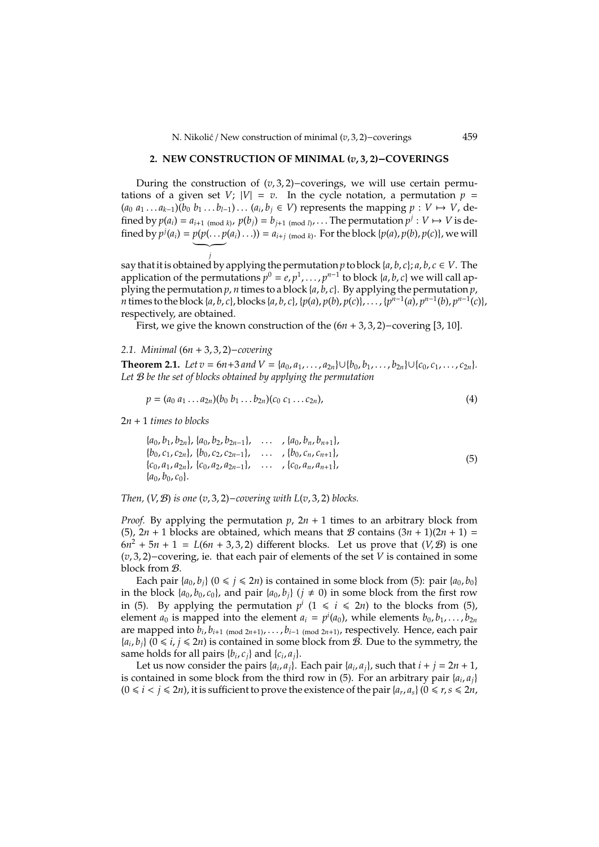# **2. NEW CONSTRUCTION OF MINIMAL (***v*, **3**, **2)**−**COVERINGS**

During the construction of (*v*, 3, 2)−coverings, we will use certain permutations of a given set *V*;  $|V| = v$ . In the cycle notation, a permutation  $p =$  $(a_0 a_1 ... a_{k-1})$  $(b_0 b_1 ... b_{l-1}) ... (a_i, b_j \in V)$  represents the mapping *p* : *V* → *V*, defined by  $p(a_i) = a_{i+1 \pmod{k}}$ ,  $p(b_j) = b_{j+1 \pmod{l}}$ , ... The permutation  $p^j : V \mapsto V$  is defined by  $p^j(a_i) = p(p(\ldots p(a_i) \ldots)) = a_{i+j \pmod{k}}$ . For the block  $\{p(a), p(b), p(c)\}$ , we will  $\underbrace{\qquad \qquad }_{i}$ 

*j* say that it is obtained by applying the permutation *p* to block {*a*, *b*, *c*}; *a*, *b*, *c* ∈ *V*. The application of the permutations  $p^0 = e, p^1, \ldots, p^{n-1}$  to block {*a*, *b*, *c*} we will call applying the permutation *p*, *n* times to a block {*a*, *b*, *c*}. By applying the permutation *p*, *n* times to the block {*a*, *b*, *c*}, blocks {*a*, *b*, *c*}, {*p*(*a*), *p*(*b*), *p*(*c*)},..., { $p^{n-1}(a)$ ,  $p^{n-1}(b)$ ,  $p^{n-1}(c)$ }, respectively, are obtained.

First, we give the known construction of the (6*n* + 3, 3, 2)−covering [3, 10].

*2.1. Minimal* (6*n* + 3, 3, 2)−*covering*

**Theorem 2.1.** *Let*  $v = 6n+3$  *and*  $V = \{a_0, a_1, \ldots, a_{2n}\} \cup \{b_0, b_1, \ldots, b_{2n}\} \cup \{c_0, c_1, \ldots, c_{2n}\}.$ *Let* B *be the set of blocks obtained by applying the permutation*

$$
p = (a_0 a_1 ... a_{2n})(b_0 b_1 ... b_{2n})(c_0 c_1 ... c_{2n}),
$$
\n(4)

2*n* + 1 *times to blocks*

$$
\{a_0, b_1, b_{2n}\}, \{a_0, b_2, b_{2n-1}\}, \dots, \{a_0, b_n, b_{n+1}\},\
$$
  
\n
$$
\{b_0, c_1, c_{2n}\}, \{b_0, c_2, c_{2n-1}\}, \dots, \{b_0, c_n, c_{n+1}\},\
$$
  
\n
$$
\{c_0, a_1, a_{2n}\}, \{c_0, a_2, a_{2n-1}\}, \dots, \{c_0, a_n, a_{n+1}\},\
$$
  
\n
$$
\{a_0, b_0, c_0\}.
$$
  
\n(5)

*Then,* (*V*, B) *is one* (*v*, 3, 2)−*covering with L*(*v*, 3, 2) *blocks.*

*Proof.* By applying the permutation  $p$ ,  $2n + 1$  times to an arbitrary block from (5),  $2n + 1$  blocks are obtained, which means that B contains  $(3n + 1)(2n + 1) =$  $6n^2 + 5n + 1 = L(6n + 3, 3, 2)$  different blocks. Let us prove that  $(V, \mathcal{B})$  is one (*v*, 3, 2)−covering, ie. that each pair of elements of the set *V* is contained in some block from B.

Each pair  $\{a_0, b_i\}$  ( $0 \le i \le 2n$ ) is contained in some block from (5): pair  $\{a_0, b_0\}$ in the block  $\{a_0, b_0, c_0\}$ , and pair  $\{a_0, b_j\}$  ( $j \neq 0$ ) in some block from the first row in (5). By applying the permutation  $p^i$  ( $1 \leq i \leq 2n$ ) to the blocks from (5), element  $a_0$  is mapped into the element  $a_i = p^i(a_0)$ , while elements  $b_0, b_1, \ldots, b_{2n}$ are mapped into *b<sup>i</sup>* , *b<sup>i</sup>*+1 (mod 2*n*+1), . . . , *bi*−1 (mod 2*n*+1), respectively. Hence, each pair  ${a_i, b_j}$  ( $0 \le i, j \le 2n$ ) is contained in some block from *B*. Due to the symmetry, the same holds for all pairs  $\{b_i, c_j\}$  and  $\{c_i, a_j\}$ .

Let us now consider the pairs  $\{a_i, a_j\}$ . Each pair  $\{a_i, a_j\}$ , such that  $i + j = 2n + 1$ , is contained in some block from the third row in (5). For an arbitrary pair  $\{a_i, a_j\}$  $(0 \le i < j \le 2n)$ , it is sufficient to prove the existence of the pair  $\{a_r, a_s\}$   $(0 \le r, s \le 2n,$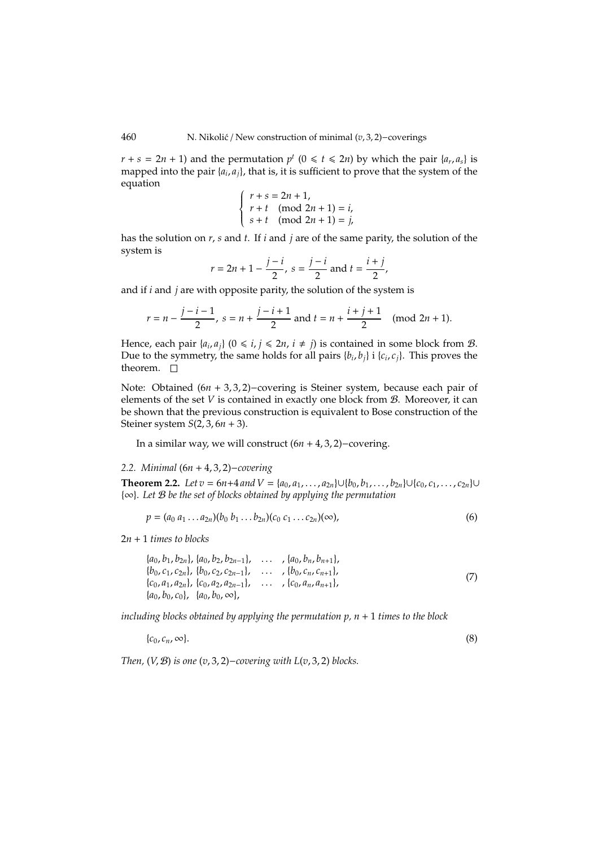$r + s = 2n + 1$ ) and the permutation  $p^t$  ( $0 \le t \le 2n$ ) by which the pair { $a_r$ ,  $a_s$ } is mapped into the pair { $a_i$ ,  $a_j$ }, that is, it is sufficient to prove that the system of the equation

$$
\begin{cases}\nr + s = 2n + 1, \\
r + t \pmod{2n + 1} = i, \\
s + t \pmod{2n + 1} = j,\n\end{cases}
$$

has the solution on *r*, *s* and *t*. If *i* and *j* are of the same parity, the solution of the system is

$$
r = 2n + 1 - \frac{j - i}{2}
$$
,  $s = \frac{j - i}{2}$  and  $t = \frac{i + j}{2}$ ,

and if *i* and *j* are with opposite parity, the solution of the system is

$$
r = n - \frac{j - i - 1}{2}
$$
,  $s = n + \frac{j - i + 1}{2}$  and  $t = n + \frac{i + j + 1}{2}$  (mod  $2n + 1$ ).

Hence, each pair  $\{a_i, a_j\}$   $(0 \le i, j \le 2n, i \ne j)$  is contained in some block from  $\mathcal{B}$ . Due to the symmetry, the same holds for all pairs  $\{b_i, b_j\}$  i  $\{c_i, c_j\}$ . This proves the theorem.  $\square$ 

Note: Obtained (6*n* + 3, 3, 2)−covering is Steiner system, because each pair of elements of the set *V* is contained in exactly one block from B. Moreover, it can be shown that the previous construction is equivalent to Bose construction of the Steiner system *S*(2, 3, 6*n* + 3).

In a similar way, we will construct (6*n* + 4, 3, 2)−covering.

#### *2.2. Minimal* (6*n* + 4, 3, 2)−*covering*

**Theorem 2.2.** *Let*  $v = 6n+4$  *and*  $V = {a_0, a_1, \ldots, a_{2n}} ∪ {b_0, b_1, \ldots, b_{2n}} ∪ {c_0, c_1, \ldots, c_{2n}} ∪$ {∞}*. Let* B *be the set of blocks obtained by applying the permutation*

$$
p = (a_0 a_1 ... a_{2n})(b_0 b_1 ... b_{2n})(c_0 c_1 ... c_{2n})(\infty),
$$
\n(6)

2*n* + 1 *times to blocks*

$$
\{a_0, b_1, b_{2n}\}, \{a_0, b_2, b_{2n-1}\}, \dots, \{a_0, b_n, b_{n+1}\},\
$$
  
\n
$$
\{b_0, c_1, c_{2n}\}, \{b_0, c_2, c_{2n-1}\}, \dots, \{b_0, c_n, c_{n+1}\},\
$$
  
\n
$$
\{c_0, a_1, a_{2n}\}, \{c_0, a_2, a_{2n-1}\}, \dots, \{c_0, a_n, a_{n+1}\},\
$$
  
\n
$$
\{a_0, b_0, c_0\}, \{a_0, b_0, \infty\}, \tag{7}
$$

*including blocks obtained by applying the permutation p,*  $n + 1$  *times to the block* 

 ${c_0, c_n, \infty}$ . (8)

*Then,*  $(V, \mathcal{B})$  *is one*  $(v, 3, 2)$ −*covering with L*( $v, 3, 2$ ) *blocks.*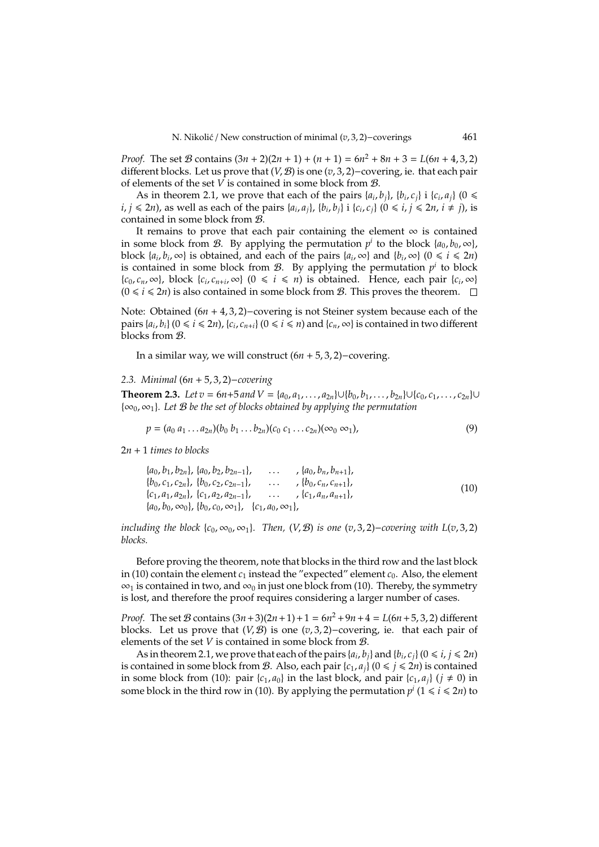*Proof.* The set B contains  $(3n + 2)(2n + 1) + (n + 1) = 6n^2 + 8n + 3 = L(6n + 4, 3, 2)$ different blocks. Let us prove that (*V*, B) is one (*v*, 3, 2)−covering, ie. that each pair of elements of the set  $\overline{V}$  is contained in some block from  $\mathcal{B}$ .

As in theorem 2.1, we prove that each of the pairs  $\{a_i, b_j\}$ ,  $\{b_i, c_j\}$  i  $\{c_i, a_j\}$  (0  $\leq$ *i*, *j*  $\leq$  2*n*), as well as each of the pairs {*a*<sub>*i*</sub>, *a*<sub>*j*</sub>}, {*b*<sub>*i*</sub>, *b*<sub>*j*</sub>} i {*c*<sub>*i*</sub>, *c*<sub>*j*</sub>} (0  $\leq$  *i*, *j*  $\leq$  2*n*, *i*  $\neq$  *j*), is contained in some block from B.

It remains to prove that each pair containing the element  $\infty$  is contained in some block from *B*. By applying the permutation  $p^i$  to the block  $\{a_0, b_0, \infty\}$ , block  $\{a_i, b_i, \infty\}$  is obtained, and each of the pairs  $\{a_i, \infty\}$  and  $\{b_i, \infty\}$   $(0 \le i \le 2n)$ is contained in some block from  $\mathcal{B}$ . By applying the permutation  $p^i$  to block  ${c_0, c_n, \infty}$ , block  ${c_i, c_{n+i}, \infty}$  (0  $\le i \le n$ ) is obtained. Hence, each pair  ${c_i, \infty}$  $(0 \le i \le 2n)$  is also contained in some block from *B*. This proves the theorem.  $\square$ 

Note: Obtained (6*n* + 4, 3, 2)−covering is not Steiner system because each of the pairs  $\{a_i, b_i\}$  ( $0 \le i \le 2n$ ),  $\{c_i, c_{n+i}\}$  ( $0 \le i \le n$ ) and  $\{c_n, \infty\}$  is contained in two different blocks from B.

In a similar way, we will construct (6*n* + 5, 3, 2)−covering.

#### *2.3. Minimal* (6*n* + 5, 3, 2)−*covering*

**Theorem 2.3.** *Let*  $v = 6n+5$  *and*  $V = {a_0, a_1, \ldots, a_{2n}} ∪ (b_0, b_1, \ldots, b_{2n}) ∪ (c_0, c_1, \ldots, c_{2n}) ∪ (c_0, c_1, \ldots, c_{2n}) ∪ (c_0, c_1, \ldots, c_{2n}) ∪ (c_0, c_1, \ldots, c_{2n}) ∘ (c_0, c_1, \ldots, c_{2n}) ∘ (c_0, c_1, \ldots, c_{2n}) ∘ (c_0, c_1, \ldots, c_{2n}) ∘$ {∞0, ∞1}*. Let* B *be the set of blocks obtained by applying the permutation*

$$
p = (a_0 a_1 ... a_{2n})(b_0 b_1 ... b_{2n})(c_0 c_1 ... c_{2n})(\infty_0 \infty_1),
$$
\n(9)

2*n* + 1 *times to blocks*

$$
\{a_0, b_1, b_{2n}\}, \{a_0, b_2, b_{2n-1}\}, \dots, \{a_0, b_n, b_{n+1}\},\
$$
  
\n
$$
\{b_0, c_1, c_{2n}\}, \{b_0, c_2, c_{2n-1}\}, \dots, \{b_0, c_n, c_{n+1}\},\
$$
  
\n
$$
\{c_1, a_1, a_{2n}\}, \{c_1, a_2, a_{2n-1}\}, \dots, \{c_1, a_n, a_{n+1}\},\
$$
  
\n
$$
\{a_0, b_0, \infty_0\}, \{b_0, c_0, \infty_1\}, \{c_1, a_0, \infty_1\}, \tag{10}
$$

*including the block*  ${c_0, \infty_0, \infty_1}$ *. Then,*  $(V, \mathcal{B})$  *is one*  $(v, 3, 2)$ −*covering with*  $L(v, 3, 2)$ *blocks.*

Before proving the theorem, note that blocks in the third row and the last block in (10) contain the element  $c_1$  instead the "expected" element  $c_0$ . Also, the element  $\infty_1$  is contained in two, and  $\infty_0$  in just one block from (10). Thereby, the symmetry is lost, and therefore the proof requires considering a larger number of cases.

*Proof.* The set B contains  $(3n+3)(2n+1)+1 = 6n^2 + 9n + 4 = L(6n+5, 3, 2)$  different blocks. Let us prove that (*V*, B) is one (*v*, 3, 2)−covering, ie. that each pair of elements of the set *V* is contained in some block from B.

As in theorem 2.1, we prove that each of the pairs  $\{a_i, b_j\}$  and  $\{b_i, c_j\}$   $(0 \le i, j \le 2n)$ is contained in some block from B. Also, each pair  $\{c_1, a_i\}$  ( $0 \le i \le 2n$ ) is contained in some block from (10): pair  ${c_1, a_0}$  in the last block, and pair  ${c_1, a_i}$  ( $i \ne 0$ ) in some block in the third row in (10). By applying the permutation  $p^i$  (1  $\leq i \leq 2n$ ) to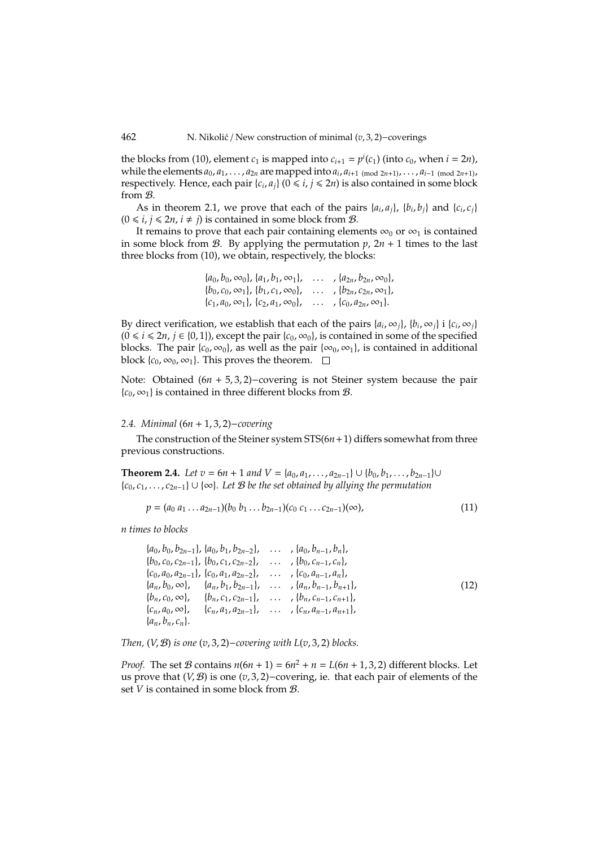the blocks from (10), element  $c_1$  is mapped into  $c_{i+1} = p^i(c_1)$  (into  $c_0$ , when  $i = 2n$ ), while the elements  $a_0, a_1, \ldots, a_{2n}$  are mapped into  $a_i, a_{i+1 \pmod{2n+1}}, \ldots, a_{i-1 \pmod{2n+1}}$ respectively. Hence, each pair  $\{c_i, a_j\}$  ( $0 \le i, j \le 2n$ ) is also contained in some block from B.

As in theorem 2.1, we prove that each of the pairs  $\{a_i, a_j\}$ ,  $\{b_i, b_j\}$  and  $\{c_i, c_j\}$  $(0 \le i, j \le 2n, i \ne j)$  is contained in some block from  $\mathcal{B}$ .

It remains to prove that each pair containing elements  $\infty_0$  or  $\infty_1$  is contained in some block from  $\mathcal{B}$ . By applying the permutation  $p$ ,  $2n + 1$  times to the last three blocks from (10), we obtain, respectively, the blocks:

| $\{a_0, b_0, \infty_0\}, \{a_1, b_1, \infty_1\},\$ | , $\{a_{2n}, b_{2n}, \infty_0\}$ ,         |
|----------------------------------------------------|--------------------------------------------|
| ${b_0, c_0, \infty_1}, {b_1, c_1, \infty_0},$      | $\ldots$ , $\{b_{2n}, c_{2n}, \infty_1\},$ |
| $\{c_1, a_0, \infty_1\}, \{c_2, a_1, \infty_0\},\$ | $\ldots$ , $\{c_0, a_{2n}, \infty_1\}.$    |

By direct verification, we establish that each of the pairs  $\{a_i, \infty_j\}$ ,  $\{b_i, \infty_j\}$  i  $\{c_i, \infty_j\}$  $(0 \le i \le 2n, j \in \{0, 1\})$ , except the pair  $\{c_0, \infty_0\}$ , is contained in some of the specified blocks. The pair { $c_0$ ,  $\infty_0$ }, as well as the pair { $\infty_0$ ,  $\infty_1$ }, is contained in additional block  ${c_0, \infty_0, \infty_1}$ . This proves the theorem.  $\square$ 

Note: Obtained (6*n* + 5, 3, 2)−covering is not Steiner system because the pair  ${c_0, \infty_1}$  is contained in three different blocks from B.

# *2.4. Minimal* (6*n* + 1, 3, 2)−*covering*

The construction of the Steiner system STS(6*n*+1) differs somewhat from three previous constructions.

**Theorem 2.4.** *Let*  $v = 6n + 1$  *and*  $V = \{a_0, a_1, \ldots, a_{2n-1}\} ∪ \{b_0, b_1, \ldots, b_{2n-1}\} ∪$ {*c*0, *c*1, . . . , *c*2*n*−1} ∪ {∞}*. Let* B *be the set obtained by allying the permutation*

$$
p = (a_0 a_1 \dots a_{2n-1})(b_0 b_1 \dots b_{2n-1})(c_0 c_1 \dots c_{2n-1})(\infty),
$$
\n(11)

*n times to blocks*

|                      |  | $\{a_0, b_0, b_{2n-1}\}, \{a_0, b_1, b_{2n-2}\}, \ldots, \{a_0, b_{n-1}, b_n\},\}$              |      |
|----------------------|--|-------------------------------------------------------------------------------------------------|------|
|                      |  | ${b_0, c_0, c_{2n-1}, b_0, c_1, c_{2n-2}, \ldots, b_0, c_{n-1}, c_n},$                          |      |
|                      |  | ${c_0, a_0, a_{2n-1}}, {c_0, a_1, a_{2n-2}}, \ldots, {c_0, a_{n-1}, a_n},$                      |      |
|                      |  | $\{a_n, b_0, \infty\}, \{a_n, b_1, b_{2n-1}\}, \ldots, \{a_n, b_{n-1}, b_{n+1}\},$              | (12) |
|                      |  | ${b_n, c_0, \infty}, \quad {b_n, c_1, c_{2n-1}}, \quad \ldots \quad , {b_n, c_{n-1}, c_{n+1}},$ |      |
|                      |  | ${c_n, a_0, \infty}, \quad {c_n, a_1, a_{2n-1}}, \quad \ldots \quad {c_n, a_{n-1}, a_{n+1}},$   |      |
| $\{a_n, b_n, c_n\}.$ |  |                                                                                                 |      |

*Then,* (*V*, B) *is one* (*v*, 3, 2)−*covering with L*(*v*, 3, 2) *blocks.*

*Proof.* The set  $B$  contains  $n(6n + 1) = 6n^2 + n = L(6n + 1, 3, 2)$  different blocks. Let us prove that (*V*, B) is one (*v*, 3, 2)−covering, ie. that each pair of elements of the set *V* is contained in some block from B.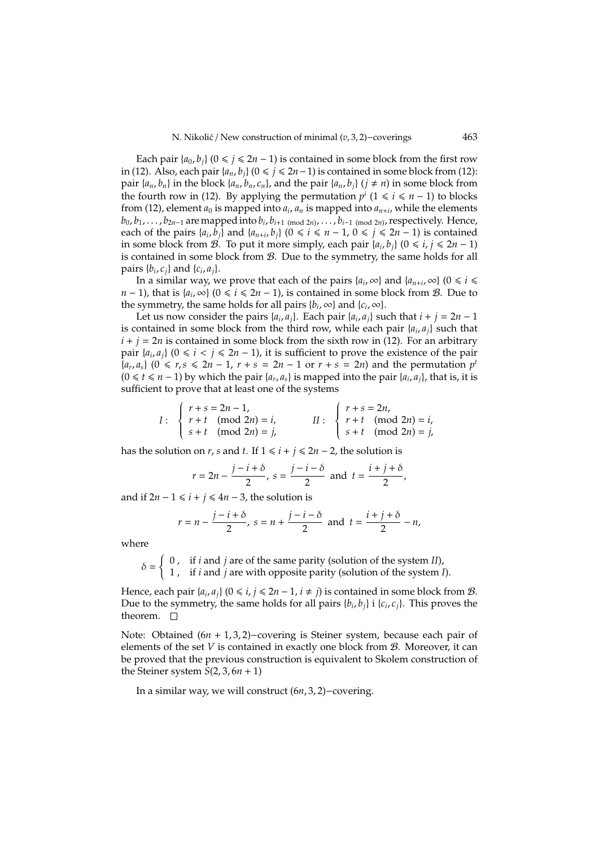Each pair  $\{a_0, b_i\}$  ( $0 \le j \le 2n - 1$ ) is contained in some block from the first row in (12). Also, each pair  $\{a_n, b_i\}$  (0 ≤  $j$  ≤ 2*n*−1) is contained in some block from (12): pair  $\{a_n, b_n\}$  in the block  $\{a_n, b_n, c_n\}$ , and the pair  $\{a_n, b_i\}$  ( $j \neq n$ ) in some block from the fourth row in (12). By applying the permutation  $p^i$  (1 ≤ *i* ≤ *n* − 1) to blocks from (12), element  $a_0$  is mapped into  $a_i$ ,  $a_n$  is mapped into  $a_{n+i}$ , while the elements  $b_0, b_1, \ldots, b_{2n-1}$  are mapped into  $b_i, b_{i+1 \pmod{2n}}, \ldots, b_{i-1 \pmod{2n}}$ , respectively. Hence, each of the pairs  $\{a_i, b_j\}$  and  $\{a_{n+i}, b_j\}$  ( $0 \le i \le n-1$ ,  $0 \le j \le 2n-1$ ) is contained in some block from *B*. To put it more simply, each pair {*a*<sub>*i*</sub>, *b*<sub>*j*</sub>} (0 ≤ *i*, *j* ≤ 2*n* − 1) is contained in some block from B. Due to the symmetry, the same holds for all pairs  $\{b_i, c_j\}$  and  $\{c_i, a_j\}$ .

In a similar way, we prove that each of the pairs  $\{a_i, \infty\}$  and  $\{a_{n+i}, \infty\}$   $(0 \le i \le n)$ *n* − 1), that is { $a_i$ , ∞} (0 ≤ *i* ≤ 2*n* − 1), is contained in some block from *B*. Due to the symmetry, the same holds for all pairs  ${b_i, \infty}$  and  ${c_i, \infty}$ .

Let us now consider the pairs  $\{a_i, a_j\}$ . Each pair  $\{a_i, a_j\}$  such that  $i + j = 2n - 1$ is contained in some block from the third row, while each pair  $\{a_i, a_j\}$  such that  $i + j = 2n$  is contained in some block from the sixth row in (12). For an arbitrary pair  $\{a_i, a_j\}$  ( $0 \le i \le j \le 2n - 1$ ), it is sufficient to prove the existence of the pair *{* $a_r, a_s$ *}* (0 ≤ *r, s* ≤ 2*n* − 1, *r* + *s* = 2*n* − 1 or *r* + *s* = 2*n*) and the permutation *p*<sup>*t*</sup> (0 ≤ *t* ≤ *n* − 1) by which the pair { $a_r$ ,  $a_s$ } is mapped into the pair { $a_i$ ,  $a_j$ }, that is, it is sufficient to prove that at least one of the systems

$$
I: \begin{cases} r+s = 2n-1, \\ r+t \pmod{2n} = i, \\ s+t \pmod{2n} = j, \end{cases} \quad II: \begin{cases} r+s = 2n, \\ r+t \pmod{2n} = i, \\ s+t \pmod{2n} = j, \end{cases}
$$

has the solution on *r*, *s* and *t*. If  $1 \le i + j \le 2n - 2$ , the solution is

$$
r = 2n - \frac{j - i + \delta}{2}
$$
,  $s = \frac{j - i - \delta}{2}$  and  $t = \frac{i + j + \delta}{2}$ ,

and if  $2n - 1 \le i + j \le 4n - 3$ , the solution is

$$
r = n - \frac{j - i + \delta}{2}
$$
,  $s = n + \frac{j - i - \delta}{2}$  and  $t = \frac{i + j + \delta}{2} - n$ ,

where

 $\delta =$ { 0 , if *i* and *j* are of the same parity (solution of the system *II*), 1 , if *i* and *j* are with opposite parity (solution of the system *I*).

Hence, each pair  $\{a_i, a_j\}$  ( $0 \le i, j \le 2n - 1, i \ne j$ ) is contained in some block from  $\mathcal{B}$ . Due to the symmetry, the same holds for all pairs  $\{b_i, b_j\}$  i  $\{c_i, c_j\}$ . This proves the theorem.  $\square$ 

Note: Obtained (6*n* + 1, 3, 2)−covering is Steiner system, because each pair of elements of the set *V* is contained in exactly one block from B. Moreover, it can be proved that the previous construction is equivalent to Skolem construction of the Steiner system  $S(2, 3, 6n + 1)$ 

In a similar way, we will construct (6*n*, 3, 2)−covering.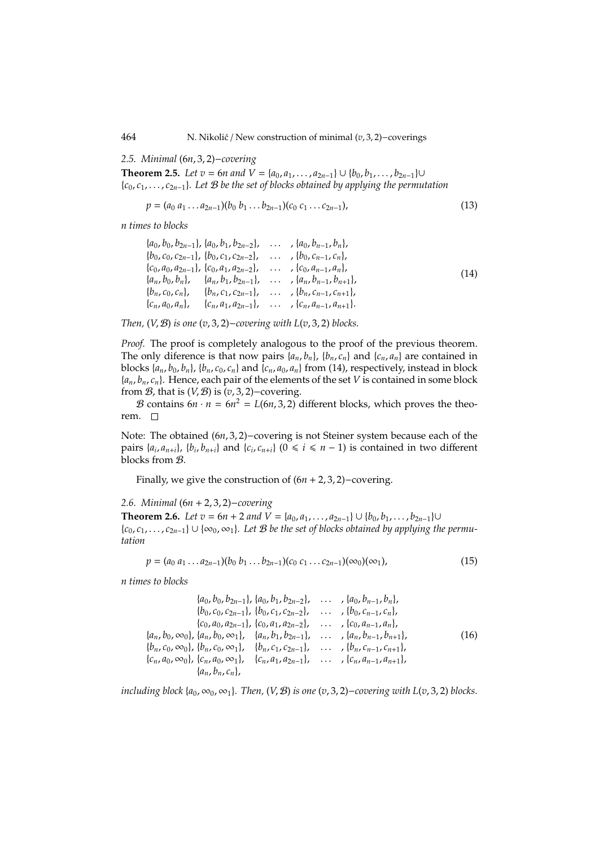464 N. Nikolic´ / New construction of minimal (*v*, 3, 2)−coverings

*2.5. Minimal* (6*n*, 3, 2)−*covering*

**Theorem 2.5.** *Let*  $v = 6n$  *and*  $V = \{a_0, a_1, \ldots, a_{2n-1}\} ∪ \{b_0, b_1, \ldots, b_{2n-1}\} ∪$ {*c*0, *c*1, . . . , *c*2*n*−1}*. Let* B *be the set of blocks obtained by applying the permutation*

$$
p = (a_0 a_1 \dots a_{2n-1})(b_0 b_1 \dots b_{2n-1})(c_0 c_1 \dots c_{2n-1}),
$$
\n(13)

*n times to blocks*

|  | $\{a_0, b_0, b_{2n-1}\}, \{a_0, b_1, b_{2n-2}\}, \ldots, \{a_0, b_{n-1}, b_n\},\}$           |      |
|--|----------------------------------------------------------------------------------------------|------|
|  | $\{b_0, c_0, c_{2n-1}\}, \{b_0, c_1, c_{2n-2}\}, \ldots, \{b_0, c_{n-1}, c_n\},\}$           |      |
|  | $\{c_0, a_0, a_{2n-1}\}, \{c_0, a_1, a_{2n-2}\}, \ldots, \{c_0, a_{n-1}, a_n\},\}$           | (14) |
|  | $\{a_n, b_0, b_n\}, \{a_n, b_1, b_{2n-1}\}, \ldots, \{a_n, b_{n-1}, b_{n+1}\},$              |      |
|  | ${b_n, c_0, c_n}, \quad {b_n, c_1, c_{2n-1}}, \quad \ldots \quad , {b_n, c_{n-1}, c_{n+1}},$ |      |
|  | $\{c_n, a_0, a_n\}, \{c_n, a_1, a_{2n-1}\}, \ldots, \{c_n, a_{n-1}, a_{n+1}\}.$              |      |

*Then,* (*V*, B) *is one* (*v*, 3, 2)−*covering with L*(*v*, 3, 2) *blocks.*

*Proof.* The proof is completely analogous to the proof of the previous theorem. The only diference is that now pairs  $\{a_n, b_n\}$ ,  $\{b_n, c_n\}$  and  $\{c_n, a_n\}$  are contained in blocks  $\{a_n, b_0, b_n\}$ ,  $\{b_n, c_0, c_n\}$  and  $\{c_n, a_0, a_n\}$  from (14), respectively, instead in block  ${a_n, b_n, c_n}$ . Hence, each pair of the elements of the set *V* is contained in some block from  $B$ , that is  $(V, B)$  is  $(v, 3, 2)$ −covering.

B contains  $6n \cdot n = 6n^2 = L(6n, 3, 2)$  different blocks, which proves the theorem. □

Note: The obtained (6*n*, 3, 2)−covering is not Steiner system because each of the pairs  $\{a_i, a_{n+i}\}, \{b_i, b_{n+i}\}$  and  $\{c_i, c_{n+i}\}$  ( $0 \le i \le n-1$ ) is contained in two different blocks from B.

Finally, we give the construction of (6*n* + 2, 3, 2)−covering.

*2.6. Minimal* (6*n* + 2, 3, 2)−*covering*

**Theorem 2.6.** *Let*  $v = 6n + 2$  *and*  $V = \{a_0, a_1, \ldots, a_{2n-1}\} \cup \{b_0, b_1, \ldots, b_{2n-1}\}$ ∪ {*c*0, *c*1, . . . , *c*2*n*−1} ∪ {∞0, ∞1}*. Let* B *be the set of blocks obtained by applying the permutation*

$$
p = (a_0 a_1 ... a_{2n-1})(b_0 b_1 ... b_{2n-1})(c_0 c_1 ... c_{2n-1})(\infty_0)(\infty_1),
$$
\n(15)

*n times to blocks*

$$
\{a_0, b_0, b_{2n-1}\}, \{a_0, b_1, b_{2n-2}\}, \ldots, \{a_0, b_{n-1}, b_n\},
$$
  
\n
$$
\{b_0, c_0, c_{2n-1}\}, \{b_0, c_1, c_{2n-2}\}, \ldots, \{b_0, c_{n-1}, c_n\},
$$
  
\n
$$
\{c_0, a_0, a_{2n-1}\}, \{c_0, a_1, a_{2n-2}\}, \ldots, \{c_0, a_{n-1}, a_n\},
$$
  
\n
$$
\{a_n, b_0, \infty\}, \{a_n, b_0, \infty\}, \{a_n, b_1, b_{2n-1}\}, \ldots, \{a_n, b_{n-1}, b_{n+1}\},
$$
  
\n
$$
\{b_n, c_0, \infty\}, \{b_n, c_0, \infty\}, \{b_n, c_1, c_{2n-1}\}, \ldots, \{b_n, c_{n-1}, c_{n+1}\},
$$
  
\n
$$
\{c_n, a_0, \infty\}, \{c_n, a_0, \infty\}, \{c_n, a_1, a_{2n-1}\}, \ldots, \{c_n, a_{n-1}, a_{n+1}\},
$$
  
\n
$$
\{a_n, b_n, c_n\},
$$

*including block*  $\{a_0, \infty_0, \infty_1\}$ *. Then,*  $(V, \mathcal{B})$  *is one*  $(v, 3, 2)$ *-covering with*  $L(v, 3, 2)$  *blocks.*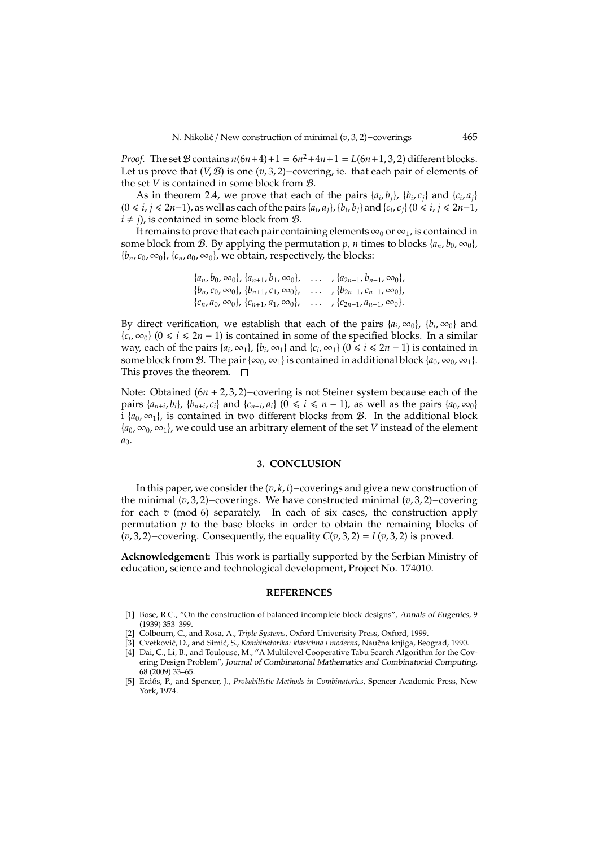*Proof.* The set  $B$  contains  $n(6n+4)+1 = 6n^2+4n+1 = L(6n+1, 3, 2)$  different blocks. Let us prove that (*V*, B) is one (*v*, 3, 2)−covering, ie. that each pair of elements of the set *V* is contained in some block from B.

As in theorem 2.4, we prove that each of the pairs  $\{a_i, b_j\}$ ,  $\{b_i, c_j\}$  and  $\{c_i, a_j\}$  $(0 ≤ i, j ≤ 2n-1)$ , as well as each of the pairs  $\{a_i, a_j\}$ ,  $\{b_i, b_j\}$  and  $\{c_i, c_j\}$   $(0 ≤ i, j ≤ 2n-1)$ ,  $i \neq j$ , is contained in some block from *B*.

It remains to prove that each pair containing elements  $\infty_0$  or  $\infty_1$ , is contained in some block from  $\mathcal{B}$ . By applying the permutation  $p$ , *n* times to blocks { $a_n$ ,  $b_0$ ,  $\infty_0$ },  ${b_n, c_0, \infty_0}$ ,  ${c_n, a_0, \infty_0}$ , we obtain, respectively, the blocks:

| $\{a_n, b_0, \infty_0\}, \{a_{n+1}, b_1, \infty_0\},\$ | $\ldots$ , $\{a_{2n-1}, b_{n-1}, \infty_0\},$ |
|--------------------------------------------------------|-----------------------------------------------|
| ${b_n, c_0, \infty_0}, {b_{n+1}, c_1, \infty_0},$      | $\ldots$ , $\{b_{2n-1}, c_{n-1}, \infty_0\},$ |
| $\{c_n, a_0, \infty_0\}, \{c_{n+1}, a_1, \infty_0\},\$ | $\ldots$ , $\{c_{2n-1}, a_{n-1}, \infty_0\}.$ |

By direct verification, we establish that each of the pairs  $\{a_i, \infty_0\}$ ,  $\{b_i, \infty_0\}$  and  ${c_i, ∞_0}$  (0 ≤ *i* ≤ 2*n* − 1) is contained in some of the specified blocks. In a similar way, each of the pairs  $\{a_i, \infty_1\}$ ,  $\{b_i, \infty_1\}$  and  $\{c_i, \infty_1\}$   $(0 \le i \le 2n - 1)$  is contained in some block from B. The pair { $\infty_0$ ,  $\infty_1$ } is contained in additional block { $a_0$ ,  $\infty_0$ ,  $\infty_1$ }. This proves the theorem.  $\square$ 

Note: Obtained (6*n* + 2, 3, 2)−covering is not Steiner system because each of the pairs  $\{a_{n+i}, b_i\}$ ,  $\{b_{n+i}, c_i\}$  and  $\{c_{n+i}, a_i\}$  ( $0 \le i \le n-1$ ), as well as the pairs  $\{a_0, \infty_0\}$ i  ${a_0, \infty_1}$ , is contained in two different blocks from *B*. In the additional block  ${a_0, \infty_0, \infty_1}$ , we could use an arbitrary element of the set *V* instead of the element  $a<sub>0</sub>$ .

# **3. CONCLUSION**

In this paper, we consider the (*v*, *k*, *t*)−coverings and give a new construction of the minimal (*v*, 3, 2)−coverings. We have constructed minimal (*v*, 3, 2)−covering for each *v* (mod 6) separately. In each of six cases, the construction apply permutation  $p$  to the base blocks in order to obtain the remaining blocks of (*v*, 3, 2)−covering. Consequently, the equality *C*(*v*, 3, 2) = *L*(*v*, 3, 2) is proved.

**Acknowledgement:** This work is partially supported by the Serbian Ministry of education, science and technological development, Project No. 174010.

#### **REFERENCES**

- [1] Bose, R.C., "On the construction of balanced incomplete block designs", Annals of Eugenics, 9 (1939) 353–399.
- [2] Colbourn, C., and Rosa, A., *Triple Systems*, Oxford Univerisity Press, Oxford, 1999.
- [3] Cvetković, D., and Simić, S., *Kombinatorika: klasichna i moderna*, Naučna knjiga, Beograd, 1990.
- [4] Dai, C., Li, B., and Toulouse, M., "A Multilevel Cooperative Tabu Search Algorithm for the Covering Design Problem", Journal of Combinatorial Mathematics and Combinatorial Computing, 68 (2009) 33–65.
- [5] Erdős, P., and Spencer, J., *Probabilistic Methods in Combinatorics*, Spencer Academic Press, New York, 1974.